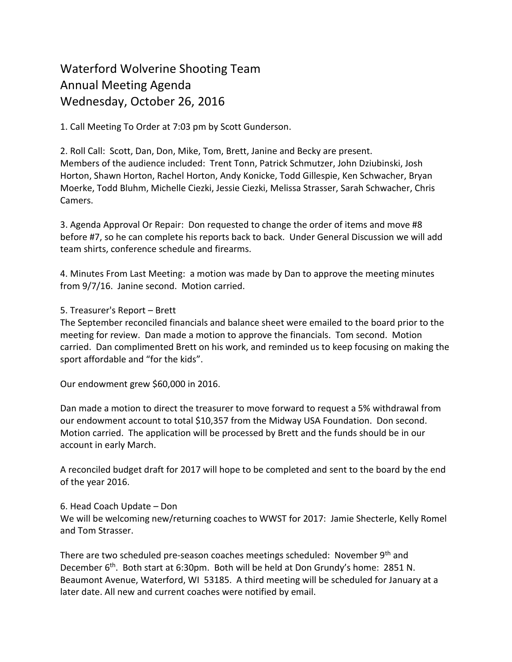# Waterford Wolverine Shooting Team Annual Meeting Agenda Wednesday, October 26, 2016

1. Call Meeting To Order at 7:03 pm by Scott Gunderson.

2. Roll Call: Scott, Dan, Don, Mike, Tom, Brett, Janine and Becky are present. Members of the audience included: Trent Tonn, Patrick Schmutzer, John Dziubinski, Josh Horton, Shawn Horton, Rachel Horton, Andy Konicke, Todd Gillespie, Ken Schwacher, Bryan Moerke, Todd Bluhm, Michelle Ciezki, Jessie Ciezki, Melissa Strasser, Sarah Schwacher, Chris Camers.

3. Agenda Approval Or Repair: Don requested to change the order of items and move #8 before #7, so he can complete his reports back to back. Under General Discussion we will add team shirts, conference schedule and firearms.

4. Minutes From Last Meeting: a motion was made by Dan to approve the meeting minutes from 9/7/16. Janine second. Motion carried.

## 5. Treasurer's Report – Brett

The September reconciled financials and balance sheet were emailed to the board prior to the meeting for review. Dan made a motion to approve the financials. Tom second. Motion carried. Dan complimented Brett on his work, and reminded us to keep focusing on making the sport affordable and "for the kids".

Our endowment grew \$60,000 in 2016.

Dan made a motion to direct the treasurer to move forward to request a 5% withdrawal from our endowment account to total \$10,357 from the Midway USA Foundation. Don second. Motion carried. The application will be processed by Brett and the funds should be in our account in early March.

A reconciled budget draft for 2017 will hope to be completed and sent to the board by the end of the year 2016.

# 6. Head Coach Update – Don

We will be welcoming new/returning coaches to WWST for 2017: Jamie Shecterle, Kelly Romel and Tom Strasser.

There are two scheduled pre-season coaches meetings scheduled: November 9th and December 6th. Both start at 6:30pm. Both will be held at Don Grundy's home: 2851 N. Beaumont Avenue, Waterford, WI 53185. A third meeting will be scheduled for January at a later date. All new and current coaches were notified by email.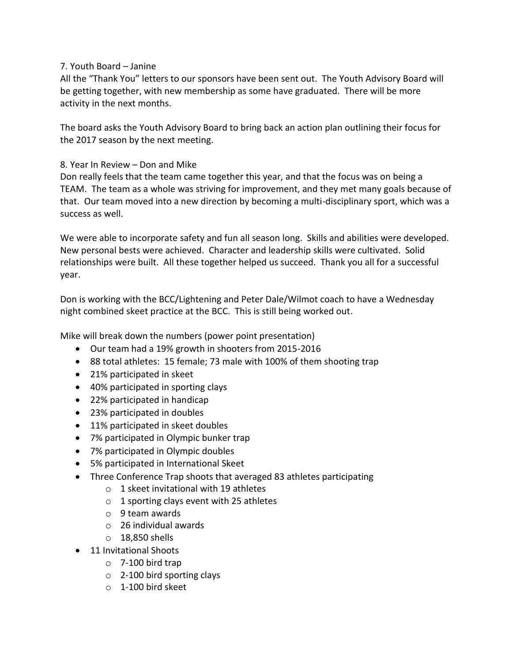## 7. Youth Board – Janine

All the "Thank You" letters to our sponsors have been sent out. The Youth Advisory Board will be getting together, with new membership as some have graduated. There will be more activity in the next months.

The board asks the Youth Advisory Board to bring back an action plan outlining their focus for the 2017 season by the next meeting.

## 8. Year In Review – Don and Mike

Don really feels that the team came together this year, and that the focus was on being a TEAM. The team as a whole was striving for improvement, and they met many goals because of that. Our team moved into a new direction by becoming a multi-disciplinary sport, which was a success as well.

We were able to incorporate safety and fun all season long. Skills and abilities were developed. New personal bests were achieved. Character and leadership skills were cultivated. Solid relationships were built. All these together helped us succeed. Thank you all for a successful year.

Don is working with the BCC/Lightening and Peter Dale/Wilmot coach to have a Wednesday night combined skeet practice at the BCC. This is still being worked out.

Mike will break down the numbers (power point presentation)

- Our team had a 19% growth in shooters from 2015-2016
- 88 total athletes: 15 female; 73 male with 100% of them shooting trap
- 21% participated in skeet
- 40% participated in sporting clays
- 22% participated in handicap
- 23% participated in doubles
- 11% participated in skeet doubles
- 7% participated in Olympic bunker trap
- 7% participated in Olympic doubles
- 5% participated in International Skeet
- Three Conference Trap shoots that averaged 83 athletes participating
	- $\circ$  1 skeet invitational with 19 athletes
	- $\circ$  1 sporting clays event with 25 athletes
	- o 9 team awards
	- o 26 individual awards
	- $\circ$  18.850 shells
- 11 Invitational Shoots
	- $\circ$  7-100 bird trap
	- o 2-100 bird sporting clays
	- o 1-100 bird skeet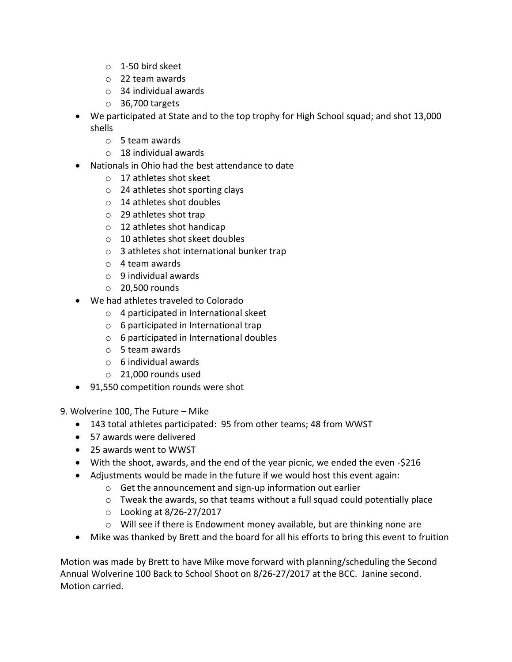- $\circ$  1-50 bird skeet
- o 22 team awards
- o 34 individual awards
- $\circ$  36,700 targets
- We participated at State and to the top trophy for High School squad; and shot 13,000 shells
	- o 5 team awards
	- $\circ$  18 individual awards
- Nationals in Ohio had the best attendance to date
	- o 17 athletes shot skeet
	- o 24 athletes shot sporting clays
	- o 14 athletes shot doubles
	- o 29 athletes shot trap
	- o 12 athletes shot handicap
	- o 10 athletes shot skeet doubles
	- o 3 athletes shot international bunker trap
	- o 4 team awards
	- $\circ$  9 individual awards
	- $\circ$  20,500 rounds
- We had athletes traveled to Colorado
	- o 4 participated in International skeet
	- o 6 participated in International trap
	- o 6 participated in International doubles
	- o 5 team awards
	- $\circ$  6 individual awards
	- o 21,000 rounds used
- 91,550 competition rounds were shot

9. Wolverine 100, The Future – Mike

- 143 total athletes participated: 95 from other teams; 48 from WWST
- 57 awards were delivered
- 25 awards went to WWST
- With the shoot, awards, and the end of the year picnic, we ended the even -\$216
- Adjustments would be made in the future if we would host this event again:
	- o Get the announcement and sign-up information out earlier
	- $\circ$  Tweak the awards, so that teams without a full squad could potentially place
	- o Looking at 8/26-27/2017
	- $\circ$  Will see if there is Endowment money available, but are thinking none are
- Mike was thanked by Brett and the board for all his efforts to bring this event to fruition

Motion was made by Brett to have Mike move forward with planning/scheduling the Second Annual Wolverine 100 Back to School Shoot on 8/26-27/2017 at the BCC. Janine second. Motion carried.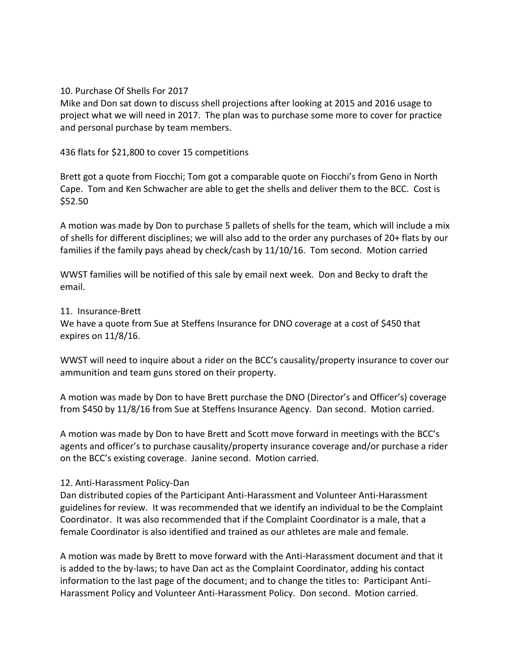#### 10. Purchase Of Shells For 2017

Mike and Don sat down to discuss shell projections after looking at 2015 and 2016 usage to project what we will need in 2017. The plan was to purchase some more to cover for practice and personal purchase by team members.

436 flats for \$21,800 to cover 15 competitions

Brett got a quote from Fiocchi; Tom got a comparable quote on Fiocchi's from Geno in North Cape. Tom and Ken Schwacher are able to get the shells and deliver them to the BCC. Cost is \$52.50

A motion was made by Don to purchase 5 pallets of shells for the team, which will include a mix of shells for different disciplines; we will also add to the order any purchases of 20+ flats by our families if the family pays ahead by check/cash by 11/10/16. Tom second. Motion carried

WWST families will be notified of this sale by email next week. Don and Becky to draft the email.

#### 11. Insurance-Brett

We have a quote from Sue at Steffens Insurance for DNO coverage at a cost of \$450 that expires on 11/8/16.

WWST will need to inquire about a rider on the BCC's causality/property insurance to cover our ammunition and team guns stored on their property.

A motion was made by Don to have Brett purchase the DNO (Director's and Officer's) coverage from \$450 by 11/8/16 from Sue at Steffens Insurance Agency. Dan second. Motion carried.

A motion was made by Don to have Brett and Scott move forward in meetings with the BCC's agents and officer's to purchase causality/property insurance coverage and/or purchase a rider on the BCC's existing coverage. Janine second. Motion carried.

# 12. Anti-Harassment Policy-Dan

Dan distributed copies of the Participant Anti-Harassment and Volunteer Anti-Harassment guidelines for review. It was recommended that we identify an individual to be the Complaint Coordinator. It was also recommended that if the Complaint Coordinator is a male, that a female Coordinator is also identified and trained as our athletes are male and female.

A motion was made by Brett to move forward with the Anti-Harassment document and that it is added to the by-laws; to have Dan act as the Complaint Coordinator, adding his contact information to the last page of the document; and to change the titles to: Participant Anti-Harassment Policy and Volunteer Anti-Harassment Policy. Don second. Motion carried.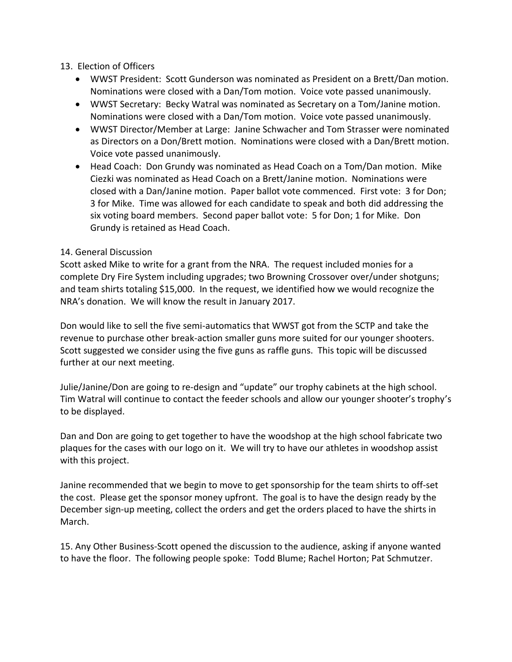## 13. Election of Officers

- WWST President: Scott Gunderson was nominated as President on a Brett/Dan motion. Nominations were closed with a Dan/Tom motion. Voice vote passed unanimously.
- WWST Secretary: Becky Watral was nominated as Secretary on a Tom/Janine motion. Nominations were closed with a Dan/Tom motion. Voice vote passed unanimously.
- WWST Director/Member at Large: Janine Schwacher and Tom Strasser were nominated as Directors on a Don/Brett motion. Nominations were closed with a Dan/Brett motion. Voice vote passed unanimously.
- Head Coach: Don Grundy was nominated as Head Coach on a Tom/Dan motion. Mike Ciezki was nominated as Head Coach on a Brett/Janine motion. Nominations were closed with a Dan/Janine motion. Paper ballot vote commenced. First vote: 3 for Don; 3 for Mike. Time was allowed for each candidate to speak and both did addressing the six voting board members. Second paper ballot vote: 5 for Don; 1 for Mike. Don Grundy is retained as Head Coach.

## 14. General Discussion

Scott asked Mike to write for a grant from the NRA. The request included monies for a complete Dry Fire System including upgrades; two Browning Crossover over/under shotguns; and team shirts totaling \$15,000. In the request, we identified how we would recognize the NRA's donation. We will know the result in January 2017.

Don would like to sell the five semi-automatics that WWST got from the SCTP and take the revenue to purchase other break-action smaller guns more suited for our younger shooters. Scott suggested we consider using the five guns as raffle guns. This topic will be discussed further at our next meeting.

Julie/Janine/Don are going to re-design and "update" our trophy cabinets at the high school. Tim Watral will continue to contact the feeder schools and allow our younger shooter's trophy's to be displayed.

Dan and Don are going to get together to have the woodshop at the high school fabricate two plaques for the cases with our logo on it. We will try to have our athletes in woodshop assist with this project.

Janine recommended that we begin to move to get sponsorship for the team shirts to off-set the cost. Please get the sponsor money upfront. The goal is to have the design ready by the December sign-up meeting, collect the orders and get the orders placed to have the shirts in March.

15. Any Other Business-Scott opened the discussion to the audience, asking if anyone wanted to have the floor. The following people spoke: Todd Blume; Rachel Horton; Pat Schmutzer.